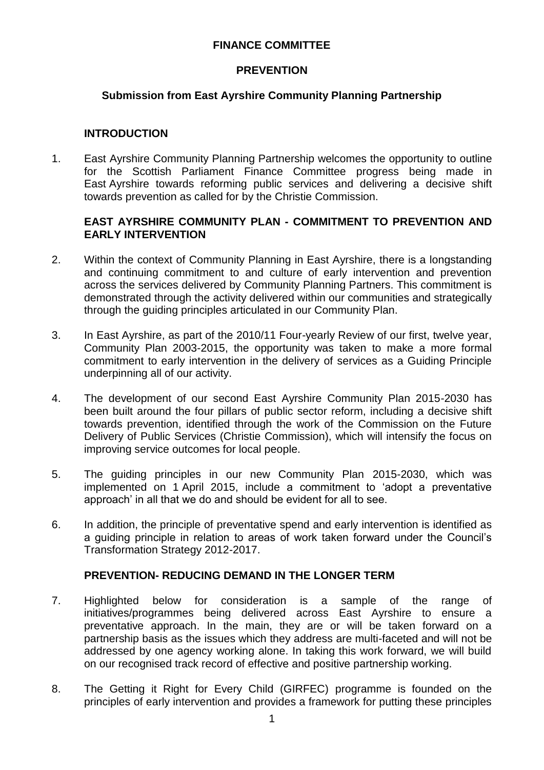### **FINANCE COMMITTEE**

### **PREVENTION**

### **Submission from East Ayrshire Community Planning Partnership**

### **INTRODUCTION**

1. East Ayrshire Community Planning Partnership welcomes the opportunity to outline for the Scottish Parliament Finance Committee progress being made in East Ayrshire towards reforming public services and delivering a decisive shift towards prevention as called for by the Christie Commission.

### **EAST AYRSHIRE COMMUNITY PLAN - COMMITMENT TO PREVENTION AND EARLY INTERVENTION**

- 2. Within the context of Community Planning in East Ayrshire, there is a longstanding and continuing commitment to and culture of early intervention and prevention across the services delivered by Community Planning Partners. This commitment is demonstrated through the activity delivered within our communities and strategically through the guiding principles articulated in our Community Plan.
- 3. In East Ayrshire, as part of the 2010/11 Four-yearly Review of our first, twelve year, Community Plan 2003-2015, the opportunity was taken to make a more formal commitment to early intervention in the delivery of services as a Guiding Principle underpinning all of our activity.
- 4. The development of our second East Ayrshire Community Plan 2015-2030 has been built around the four pillars of public sector reform, including a decisive shift towards prevention, identified through the work of the Commission on the Future Delivery of Public Services (Christie Commission), which will intensify the focus on improving service outcomes for local people.
- 5. The guiding principles in our new Community Plan 2015-2030, which was implemented on 1 April 2015, include a commitment to 'adopt a preventative approach' in all that we do and should be evident for all to see.
- 6. In addition, the principle of preventative spend and early intervention is identified as a guiding principle in relation to areas of work taken forward under the Council's Transformation Strategy 2012-2017.

## **PREVENTION- REDUCING DEMAND IN THE LONGER TERM**

- 7. Highlighted below for consideration is a sample of the range of initiatives/programmes being delivered across East Ayrshire to ensure a preventative approach. In the main, they are or will be taken forward on a partnership basis as the issues which they address are multi-faceted and will not be addressed by one agency working alone. In taking this work forward, we will build on our recognised track record of effective and positive partnership working.
- 8. The Getting it Right for Every Child (GIRFEC) programme is founded on the principles of early intervention and provides a framework for putting these principles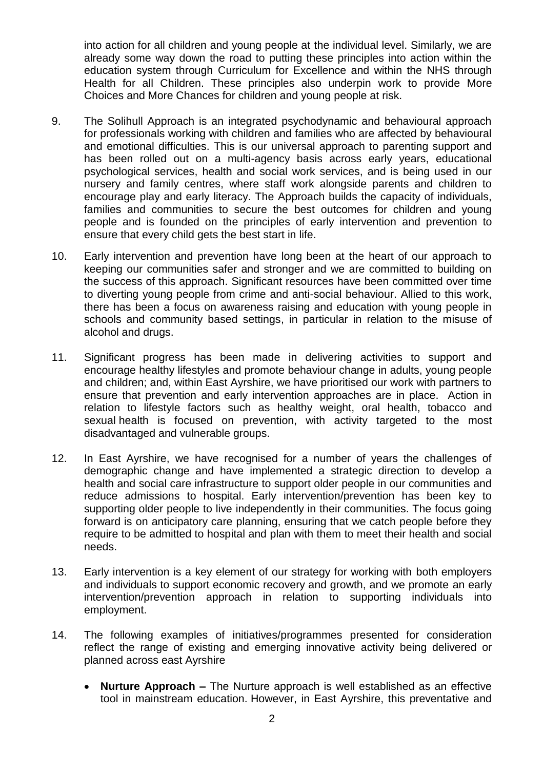into action for all children and young people at the individual level. Similarly, we are already some way down the road to putting these principles into action within the education system through Curriculum for Excellence and within the NHS through Health for all Children. These principles also underpin work to provide More Choices and More Chances for children and young people at risk.

- 9. The Solihull Approach is an integrated psychodynamic and behavioural approach for professionals working with children and families who are affected by behavioural and emotional difficulties. This is our universal approach to parenting support and has been rolled out on a multi-agency basis across early years, educational psychological services, health and social work services, and is being used in our nursery and family centres, where staff work alongside parents and children to encourage play and early literacy. The Approach builds the capacity of individuals, families and communities to secure the best outcomes for children and young people and is founded on the principles of early intervention and prevention to ensure that every child gets the best start in life.
- 10. Early intervention and prevention have long been at the heart of our approach to keeping our communities safer and stronger and we are committed to building on the success of this approach. Significant resources have been committed over time to diverting young people from crime and anti-social behaviour. Allied to this work, there has been a focus on awareness raising and education with young people in schools and community based settings, in particular in relation to the misuse of alcohol and drugs.
- 11. Significant progress has been made in delivering activities to support and encourage healthy lifestyles and promote behaviour change in adults, young people and children; and, within East Ayrshire, we have prioritised our work with partners to ensure that prevention and early intervention approaches are in place. Action in relation to lifestyle factors such as healthy weight, oral health, tobacco and sexual health is focused on prevention, with activity targeted to the most disadvantaged and vulnerable groups.
- 12. In East Ayrshire, we have recognised for a number of years the challenges of demographic change and have implemented a strategic direction to develop a health and social care infrastructure to support older people in our communities and reduce admissions to hospital. Early intervention/prevention has been key to supporting older people to live independently in their communities. The focus going forward is on anticipatory care planning, ensuring that we catch people before they require to be admitted to hospital and plan with them to meet their health and social needs.
- 13. Early intervention is a key element of our strategy for working with both employers and individuals to support economic recovery and growth, and we promote an early intervention/prevention approach in relation to supporting individuals into employment.
- 14. The following examples of initiatives/programmes presented for consideration reflect the range of existing and emerging innovative activity being delivered or planned across east Ayrshire
	- **Nurture Approach –** The Nurture approach is well established as an effective tool in mainstream education. However, in East Ayrshire, this preventative and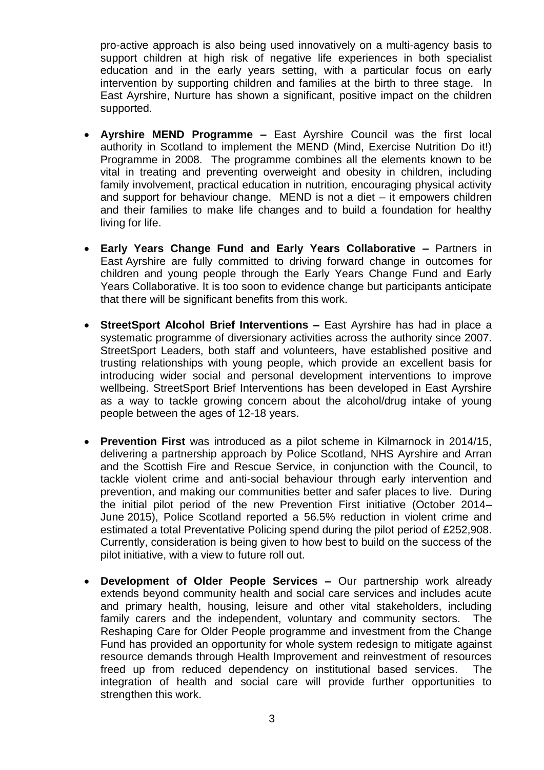pro-active approach is also being used innovatively on a multi-agency basis to support children at high risk of negative life experiences in both specialist education and in the early years setting, with a particular focus on early intervention by supporting children and families at the birth to three stage. In East Ayrshire, Nurture has shown a significant, positive impact on the children supported.

- **Ayrshire MEND Programme –** East Ayrshire Council was the first local authority in Scotland to implement the MEND (Mind, Exercise Nutrition Do it!) Programme in 2008. The programme combines all the elements known to be vital in treating and preventing overweight and obesity in children, including family involvement, practical education in nutrition, encouraging physical activity and support for behaviour change. MEND is not a diet – it empowers children and their families to make life changes and to build a foundation for healthy living for life.
- **Early Years Change Fund and Early Years Collaborative –** Partners in East Ayrshire are fully committed to driving forward change in outcomes for children and young people through the Early Years Change Fund and Early Years Collaborative. It is too soon to evidence change but participants anticipate that there will be significant benefits from this work.
- **StreetSport Alcohol Brief Interventions –** East Ayrshire has had in place a systematic programme of diversionary activities across the authority since 2007. StreetSport Leaders, both staff and volunteers, have established positive and trusting relationships with young people, which provide an excellent basis for introducing wider social and personal development interventions to improve wellbeing. StreetSport Brief Interventions has been developed in East Ayrshire as a way to tackle growing concern about the alcohol/drug intake of young people between the ages of 12-18 years.
- **Prevention First** was introduced as a pilot scheme in Kilmarnock in 2014/15, delivering a partnership approach by Police Scotland, NHS Ayrshire and Arran and the Scottish Fire and Rescue Service, in conjunction with the Council, to tackle violent crime and anti-social behaviour through early intervention and prevention, and making our communities better and safer places to live. During the initial pilot period of the new Prevention First initiative (October 2014– June 2015), Police Scotland reported a 56.5% reduction in violent crime and estimated a total Preventative Policing spend during the pilot period of £252,908. Currently, consideration is being given to how best to build on the success of the pilot initiative, with a view to future roll out.
- **Development of Older People Services –** Our partnership work already extends beyond community health and social care services and includes acute and primary health, housing, leisure and other vital stakeholders, including family carers and the independent, voluntary and community sectors. The Reshaping Care for Older People programme and investment from the Change Fund has provided an opportunity for whole system redesign to mitigate against resource demands through Health Improvement and reinvestment of resources freed up from reduced dependency on institutional based services. The integration of health and social care will provide further opportunities to strengthen this work.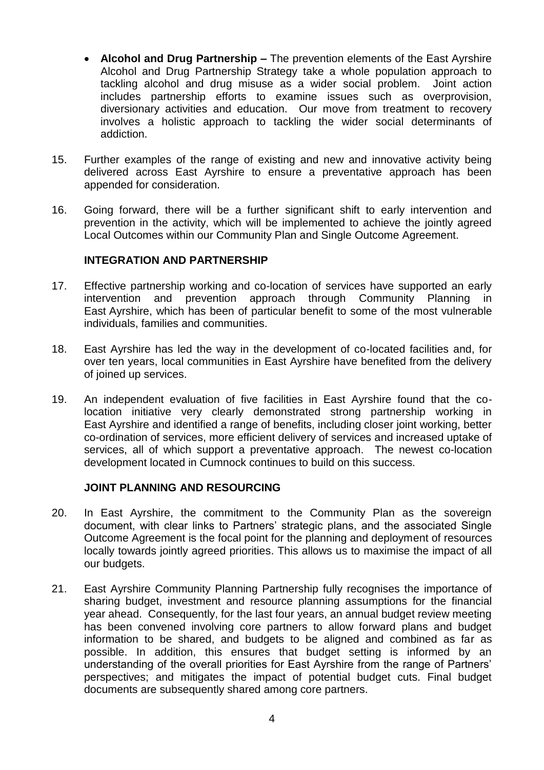- **Alcohol and Drug Partnership –** The prevention elements of the East Ayrshire Alcohol and Drug Partnership Strategy take a whole population approach to tackling alcohol and drug misuse as a wider social problem. Joint action includes partnership efforts to examine issues such as overprovision, diversionary activities and education. Our move from treatment to recovery involves a holistic approach to tackling the wider social determinants of addiction.
- 15. Further examples of the range of existing and new and innovative activity being delivered across East Ayrshire to ensure a preventative approach has been appended for consideration.
- 16. Going forward, there will be a further significant shift to early intervention and prevention in the activity, which will be implemented to achieve the jointly agreed Local Outcomes within our Community Plan and Single Outcome Agreement.

#### **INTEGRATION AND PARTNERSHIP**

- 17. Effective partnership working and co-location of services have supported an early intervention and prevention approach through Community Planning in East Ayrshire, which has been of particular benefit to some of the most vulnerable individuals, families and communities.
- 18. East Ayrshire has led the way in the development of co-located facilities and, for over ten years, local communities in East Ayrshire have benefited from the delivery of joined up services.
- 19. An independent evaluation of five facilities in East Ayrshire found that the colocation initiative very clearly demonstrated strong partnership working in East Ayrshire and identified a range of benefits, including closer joint working, better co-ordination of services, more efficient delivery of services and increased uptake of services, all of which support a preventative approach. The newest co-location development located in Cumnock continues to build on this success.

### **JOINT PLANNING AND RESOURCING**

- 20. In East Ayrshire, the commitment to the Community Plan as the sovereign document, with clear links to Partners' strategic plans, and the associated Single Outcome Agreement is the focal point for the planning and deployment of resources locally towards jointly agreed priorities. This allows us to maximise the impact of all our budgets.
- 21. East Ayrshire Community Planning Partnership fully recognises the importance of sharing budget, investment and resource planning assumptions for the financial year ahead. Consequently, for the last four years, an annual budget review meeting has been convened involving core partners to allow forward plans and budget information to be shared, and budgets to be aligned and combined as far as possible. In addition, this ensures that budget setting is informed by an understanding of the overall priorities for East Ayrshire from the range of Partners' perspectives; and mitigates the impact of potential budget cuts. Final budget documents are subsequently shared among core partners.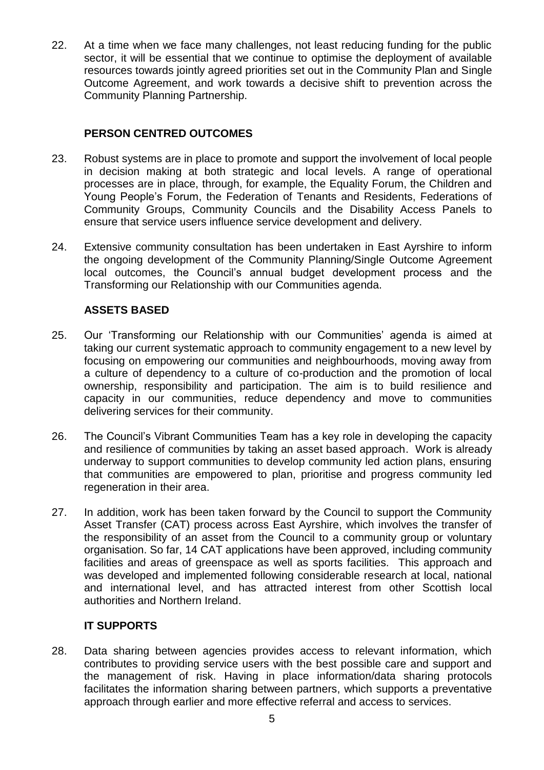22. At a time when we face many challenges, not least reducing funding for the public sector, it will be essential that we continue to optimise the deployment of available resources towards jointly agreed priorities set out in the Community Plan and Single Outcome Agreement, and work towards a decisive shift to prevention across the Community Planning Partnership.

# **PERSON CENTRED OUTCOMES**

- 23. Robust systems are in place to promote and support the involvement of local people in decision making at both strategic and local levels. A range of operational processes are in place, through, for example, the Equality Forum, the Children and Young People's Forum, the Federation of Tenants and Residents, Federations of Community Groups, Community Councils and the Disability Access Panels to ensure that service users influence service development and delivery.
- 24. Extensive community consultation has been undertaken in East Ayrshire to inform the ongoing development of the Community Planning/Single Outcome Agreement local outcomes, the Council's annual budget development process and the Transforming our Relationship with our Communities agenda.

## **ASSETS BASED**

- 25. Our 'Transforming our Relationship with our Communities' agenda is aimed at taking our current systematic approach to community engagement to a new level by focusing on empowering our communities and neighbourhoods, moving away from a culture of dependency to a culture of co-production and the promotion of local ownership, responsibility and participation. The aim is to build resilience and capacity in our communities, reduce dependency and move to communities delivering services for their community.
- 26. The Council's Vibrant Communities Team has a key role in developing the capacity and resilience of communities by taking an asset based approach. Work is already underway to support communities to develop community led action plans, ensuring that communities are empowered to plan, prioritise and progress community led regeneration in their area.
- 27. In addition, work has been taken forward by the Council to support the Community Asset Transfer (CAT) process across East Ayrshire, which involves the transfer of the responsibility of an asset from the Council to a community group or voluntary organisation. So far, 14 CAT applications have been approved, including community facilities and areas of greenspace as well as sports facilities. This approach and was developed and implemented following considerable research at local, national and international level, and has attracted interest from other Scottish local authorities and Northern Ireland.

## **IT SUPPORTS**

28. Data sharing between agencies provides access to relevant information, which contributes to providing service users with the best possible care and support and the management of risk. Having in place information/data sharing protocols facilitates the information sharing between partners, which supports a preventative approach through earlier and more effective referral and access to services.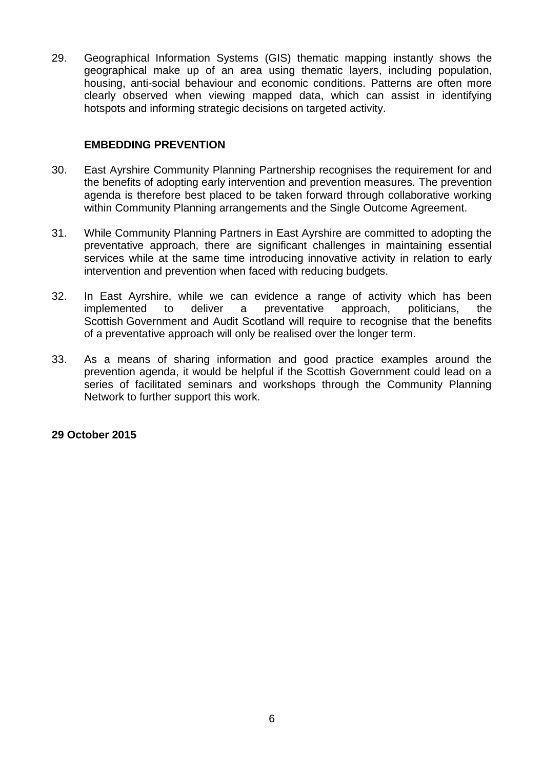29. Geographical Information Systems (GIS) thematic mapping instantly shows the geographical make up of an area using thematic layers, including population, housing, anti-social behaviour and economic conditions. Patterns are often more clearly observed when viewing mapped data, which can assist in identifying hotspots and informing strategic decisions on targeted activity.

### **EMBEDDING PREVENTION**

- 30. East Ayrshire Community Planning Partnership recognises the requirement for and the benefits of adopting early intervention and prevention measures. The prevention agenda is therefore best placed to be taken forward through collaborative working within Community Planning arrangements and the Single Outcome Agreement.
- 31. While Community Planning Partners in East Ayrshire are committed to adopting the preventative approach, there are significant challenges in maintaining essential services while at the same time introducing innovative activity in relation to early intervention and prevention when faced with reducing budgets.
- 32. In East Ayrshire, while we can evidence a range of activity which has been implemented to deliver a preventative approach, politicians, the Scottish Government and Audit Scotland will require to recognise that the benefits of a preventative approach will only be realised over the longer term.
- 33. As a means of sharing information and good practice examples around the prevention agenda, it would be helpful if the Scottish Government could lead on a series of facilitated seminars and workshops through the Community Planning Network to further support this work.

### **29 October 2015**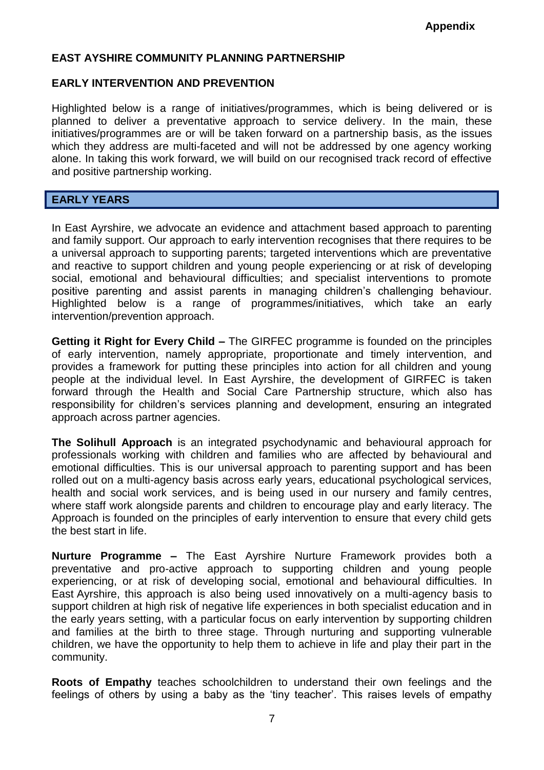### **EAST AYSHIRE COMMUNITY PLANNING PARTNERSHIP**

### **EARLY INTERVENTION AND PREVENTION**

Highlighted below is a range of initiatives/programmes, which is being delivered or is planned to deliver a preventative approach to service delivery. In the main, these initiatives/programmes are or will be taken forward on a partnership basis, as the issues which they address are multi-faceted and will not be addressed by one agency working alone. In taking this work forward, we will build on our recognised track record of effective and positive partnership working.

#### **EARLY YEARS**

In East Ayrshire, we advocate an evidence and attachment based approach to parenting and family support. Our approach to early intervention recognises that there requires to be a universal approach to supporting parents; targeted interventions which are preventative and reactive to support children and young people experiencing or at risk of developing social, emotional and behavioural difficulties; and specialist interventions to promote positive parenting and assist parents in managing children's challenging behaviour. Highlighted below is a range of programmes/initiatives, which take an early intervention/prevention approach.

**Getting it Right for Every Child –** The GIRFEC programme is founded on the principles of early intervention, namely appropriate, proportionate and timely intervention, and provides a framework for putting these principles into action for all children and young people at the individual level. In East Ayrshire, the development of GIRFEC is taken forward through the Health and Social Care Partnership structure, which also has responsibility for children's services planning and development, ensuring an integrated approach across partner agencies.

**The Solihull Approach** is an integrated psychodynamic and behavioural approach for professionals working with children and families who are affected by behavioural and emotional difficulties. This is our universal approach to parenting support and has been rolled out on a multi-agency basis across early years, educational psychological services, health and social work services, and is being used in our nursery and family centres, where staff work alongside parents and children to encourage play and early literacy. The Approach is founded on the principles of early intervention to ensure that every child gets the best start in life.

**Nurture Programme –** The East Ayrshire Nurture Framework provides both a preventative and pro-active approach to supporting children and young people experiencing, or at risk of developing social, emotional and behavioural difficulties. In East Ayrshire, this approach is also being used innovatively on a multi-agency basis to support children at high risk of negative life experiences in both specialist education and in the early years setting, with a particular focus on early intervention by supporting children and families at the birth to three stage. Through nurturing and supporting vulnerable children, we have the opportunity to help them to achieve in life and play their part in the community.

**Roots of Empathy** teaches schoolchildren to understand their own feelings and the feelings of others by using a baby as the 'tiny teacher'. This raises levels of empathy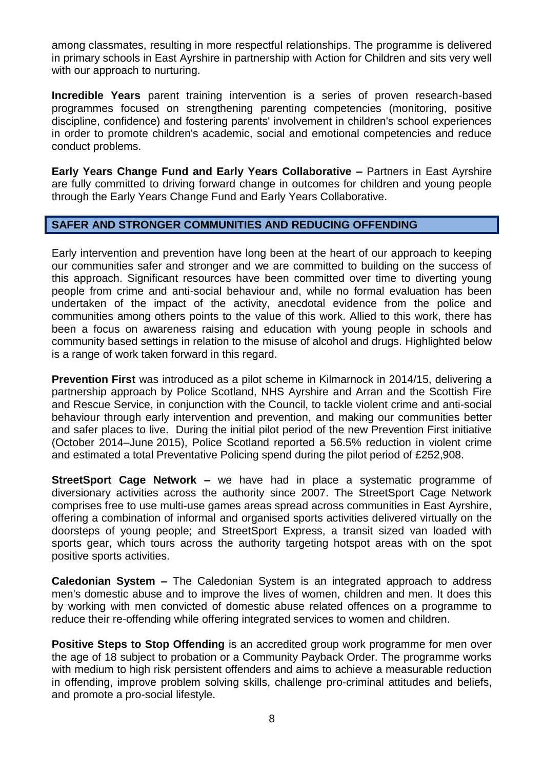among classmates, resulting in more respectful relationships. The programme is delivered in primary schools in East Ayrshire in partnership with Action for Children and sits very well with our approach to nurturing.

**Incredible Years** parent training intervention is a series of proven research-based programmes focused on strengthening parenting competencies (monitoring, positive discipline, confidence) and fostering parents' involvement in children's school experiences in order to promote children's academic, social and emotional competencies and reduce conduct problems.

**Early Years Change Fund and Early Years Collaborative –** Partners in East Ayrshire are fully committed to driving forward change in outcomes for children and young people through the Early Years Change Fund and Early Years Collaborative.

### **SAFER AND STRONGER COMMUNITIES AND REDUCING OFFENDING**

Early intervention and prevention have long been at the heart of our approach to keeping our communities safer and stronger and we are committed to building on the success of this approach. Significant resources have been committed over time to diverting young people from crime and anti-social behaviour and, while no formal evaluation has been undertaken of the impact of the activity, anecdotal evidence from the police and communities among others points to the value of this work. Allied to this work, there has been a focus on awareness raising and education with young people in schools and community based settings in relation to the misuse of alcohol and drugs. Highlighted below is a range of work taken forward in this regard.

**Prevention First** was introduced as a pilot scheme in Kilmarnock in 2014/15, delivering a partnership approach by Police Scotland, NHS Ayrshire and Arran and the Scottish Fire and Rescue Service, in conjunction with the Council, to tackle violent crime and anti-social behaviour through early intervention and prevention, and making our communities better and safer places to live. During the initial pilot period of the new Prevention First initiative (October 2014–June 2015), Police Scotland reported a 56.5% reduction in violent crime and estimated a total Preventative Policing spend during the pilot period of £252,908.

**StreetSport Cage Network –** we have had in place a systematic programme of diversionary activities across the authority since 2007. The StreetSport Cage Network comprises free to use multi-use games areas spread across communities in East Ayrshire, offering a combination of informal and organised sports activities delivered virtually on the doorsteps of young people; and StreetSport Express, a transit sized van loaded with sports gear, which tours across the authority targeting hotspot areas with on the spot positive sports activities.

**Caledonian System –** The Caledonian System is an integrated approach to address men's domestic abuse and to improve the lives of women, children and men. It does this by working with men convicted of domestic abuse related offences on a programme to reduce their re-offending while offering integrated services to women and children.

**Positive Steps to Stop Offending** is an accredited group work programme for men over the age of 18 subject to probation or a Community Payback Order. The programme works with medium to high risk persistent offenders and aims to achieve a measurable reduction in offending, improve problem solving skills, challenge pro-criminal attitudes and beliefs, and promote a pro-social lifestyle.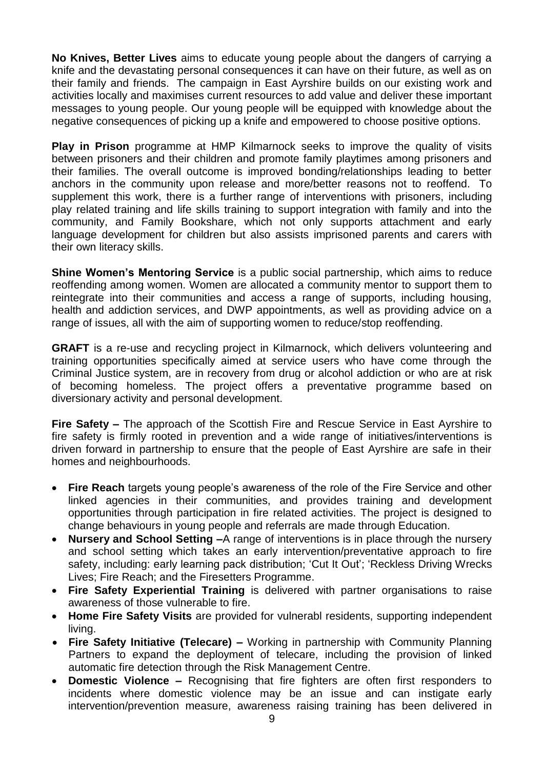**No Knives, Better Lives** aims to educate young people about the dangers of carrying a knife and the devastating personal consequences it can have on their future, as well as on their family and friends. The campaign in East Ayrshire builds on our existing work and activities locally and maximises current resources to add value and deliver these important messages to young people. Our young people will be equipped with knowledge about the negative consequences of picking up a knife and empowered to choose positive options.

**Play in Prison** programme at HMP Kilmarnock seeks to improve the quality of visits between prisoners and their children and promote family playtimes among prisoners and their families. The overall outcome is improved bonding/relationships leading to better anchors in the community upon release and more/better reasons not to reoffend. To supplement this work, there is a further range of interventions with prisoners, including play related training and life skills training to support integration with family and into the community, and Family Bookshare, which not only supports attachment and early language development for children but also assists imprisoned parents and carers with their own literacy skills.

**Shine Women's Mentoring Service** is a public social partnership, which aims to reduce reoffending among women. Women are allocated a community mentor to support them to reintegrate into their communities and access a range of supports, including housing, health and addiction services, and DWP appointments, as well as providing advice on a range of issues, all with the aim of supporting women to reduce/stop reoffending.

**GRAFT** is a re-use and recycling project in Kilmarnock, which delivers volunteering and training opportunities specifically aimed at service users who have come through the Criminal Justice system, are in recovery from drug or alcohol addiction or who are at risk of becoming homeless. The project offers a preventative programme based on diversionary activity and personal development.

**Fire Safety –** The approach of the Scottish Fire and Rescue Service in East Ayrshire to fire safety is firmly rooted in prevention and a wide range of initiatives/interventions is driven forward in partnership to ensure that the people of East Ayrshire are safe in their homes and neighbourhoods.

- **Fire Reach** targets young people's awareness of the role of the Fire Service and other linked agencies in their communities, and provides training and development opportunities through participation in fire related activities. The project is designed to change behaviours in young people and referrals are made through Education.
- **Nursery and School Setting –**A range of interventions is in place through the nursery and school setting which takes an early intervention/preventative approach to fire safety, including: early learning pack distribution; 'Cut It Out'; 'Reckless Driving Wrecks Lives; Fire Reach; and the Firesetters Programme.
- **Fire Safety Experiential Training** is delivered with partner organisations to raise awareness of those vulnerable to fire.
- **Home Fire Safety Visits** are provided for vulnerabl residents, supporting independent living.
- **Fire Safety Initiative (Telecare) –** Working in partnership with Community Planning Partners to expand the deployment of telecare, including the provision of linked automatic fire detection through the Risk Management Centre.
- **Domestic Violence –** Recognising that fire fighters are often first responders to incidents where domestic violence may be an issue and can instigate early intervention/prevention measure, awareness raising training has been delivered in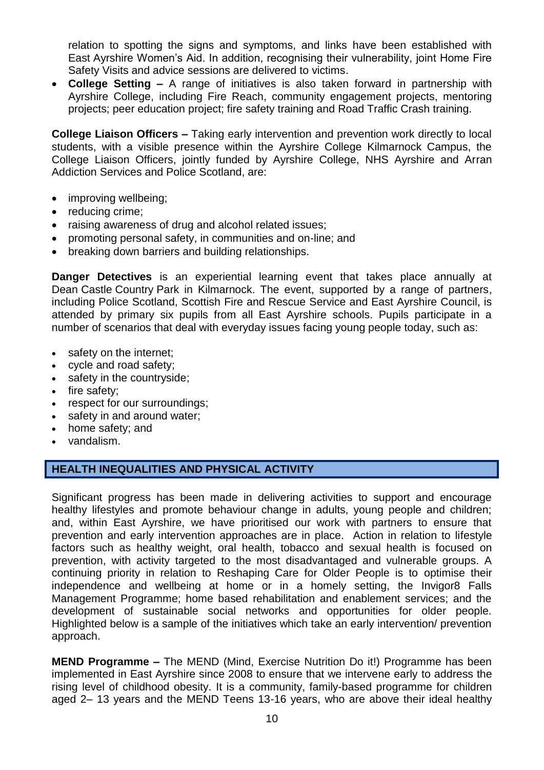relation to spotting the signs and symptoms, and links have been established with East Ayrshire Women's Aid. In addition, recognising their vulnerability, joint Home Fire Safety Visits and advice sessions are delivered to victims.

 **College Setting –** A range of initiatives is also taken forward in partnership with Ayrshire College, including Fire Reach, community engagement projects, mentoring projects; peer education project; fire safety training and Road Traffic Crash training.

**College Liaison Officers –** Taking early intervention and prevention work directly to local students, with a visible presence within the Ayrshire College Kilmarnock Campus, the College Liaison Officers, jointly funded by Ayrshire College, NHS Ayrshire and Arran Addiction Services and Police Scotland, are:

- improving wellbeing;
- reducing crime;
- raising awareness of drug and alcohol related issues;
- promoting personal safety, in communities and on-line; and
- breaking down barriers and building relationships.

**Danger Detectives** is an experiential learning event that takes place annually at Dean Castle Country Park in Kilmarnock. The event, supported by a range of partners, including Police Scotland, Scottish Fire and Rescue Service and East Ayrshire Council, is attended by primary six pupils from all East Ayrshire schools. Pupils participate in a number of scenarios that deal with everyday issues facing young people today, such as:

- safety on the internet;
- cycle and road safety;
- safety in the countryside;
- $\bullet$  fire safety;
- respect for our surroundings;
- safety in and around water:
- home safety: and
- vandalism.

### **HEALTH INEQUALITIES AND PHYSICAL ACTIVITY**

Significant progress has been made in delivering activities to support and encourage healthy lifestyles and promote behaviour change in adults, young people and children; and, within East Ayrshire, we have prioritised our work with partners to ensure that prevention and early intervention approaches are in place. Action in relation to lifestyle factors such as healthy weight, oral health, tobacco and sexual health is focused on prevention, with activity targeted to the most disadvantaged and vulnerable groups. A continuing priority in relation to Reshaping Care for Older People is to optimise their independence and wellbeing at home or in a homely setting, the Invigor8 Falls Management Programme; home based rehabilitation and enablement services; and the development of sustainable social networks and opportunities for older people. Highlighted below is a sample of the initiatives which take an early intervention/ prevention approach.

**MEND Programme –** The MEND (Mind, Exercise Nutrition Do it!) Programme has been implemented in East Ayrshire since 2008 to ensure that we intervene early to address the rising level of childhood obesity. It is a community, family-based programme for children aged 2– 13 years and the MEND Teens 13-16 years, who are above their ideal healthy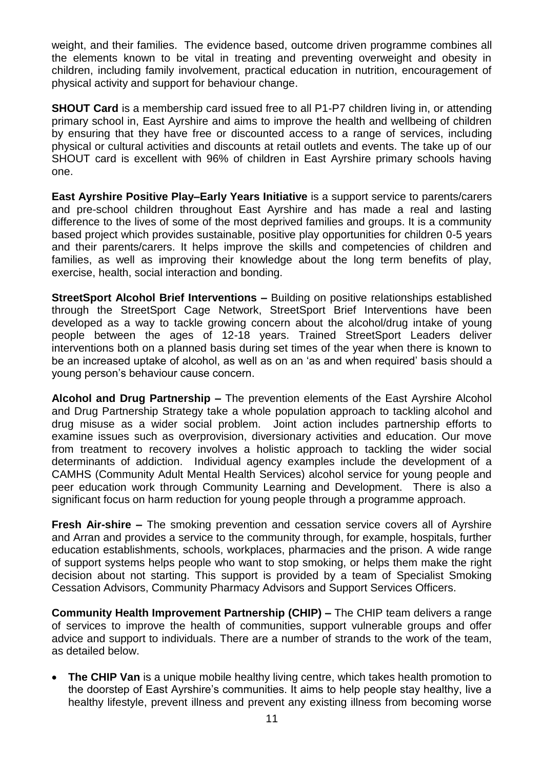weight, and their families. The evidence based, outcome driven programme combines all the elements known to be vital in treating and preventing overweight and obesity in children, including family involvement, practical education in nutrition, encouragement of physical activity and support for behaviour change.

**SHOUT Card** is a membership card issued free to all P1-P7 children living in, or attending primary school in, East Ayrshire and aims to improve the health and wellbeing of children by ensuring that they have free or discounted access to a range of services, including physical or cultural activities and discounts at retail outlets and events. The take up of our SHOUT card is excellent with 96% of children in East Ayrshire primary schools having one.

**East Ayrshire Positive Play–Early Years Initiative** is a support service to parents/carers and pre-school children throughout East Ayrshire and has made a real and lasting difference to the lives of some of the most deprived families and groups. It is a community based project which provides sustainable, positive play opportunities for children 0-5 years and their parents/carers. It helps improve the skills and competencies of children and families, as well as improving their knowledge about the long term benefits of play, exercise, health, social interaction and bonding.

**StreetSport Alcohol Brief Interventions –** Building on positive relationships established through the StreetSport Cage Network, StreetSport Brief Interventions have been developed as a way to tackle growing concern about the alcohol/drug intake of young people between the ages of 12-18 years. Trained StreetSport Leaders deliver interventions both on a planned basis during set times of the year when there is known to be an increased uptake of alcohol, as well as on an 'as and when required' basis should a young person's behaviour cause concern.

**Alcohol and Drug Partnership –** The prevention elements of the East Ayrshire Alcohol and Drug Partnership Strategy take a whole population approach to tackling alcohol and drug misuse as a wider social problem. Joint action includes partnership efforts to examine issues such as overprovision, diversionary activities and education. Our move from treatment to recovery involves a holistic approach to tackling the wider social determinants of addiction. Individual agency examples include the development of a CAMHS (Community Adult Mental Health Services) alcohol service for young people and peer education work through Community Learning and Development. There is also a significant focus on harm reduction for young people through a programme approach.

**Fresh Air-shire –** The smoking prevention and cessation service covers all of Ayrshire and Arran and provides a service to the community through, for example, hospitals, further education establishments, schools, workplaces, pharmacies and the prison. A wide range of support systems helps people who want to stop smoking, or helps them make the right decision about not starting. This support is provided by a team of Specialist Smoking Cessation Advisors, Community Pharmacy Advisors and Support Services Officers.

**Community Health Improvement Partnership (CHIP) –** The CHIP team delivers a range of services to improve the health of communities, support vulnerable groups and offer advice and support to individuals. There are a number of strands to the work of the team, as detailed below.

• The CHIP Van is a unique mobile healthy living centre, which takes health promotion to the doorstep of East Ayrshire's communities. It aims to help people stay healthy, live a healthy lifestyle, prevent illness and prevent any existing illness from becoming worse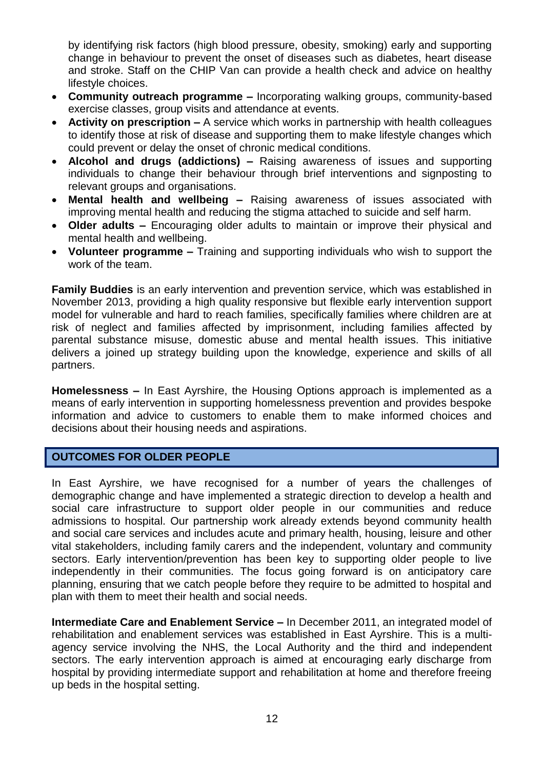by identifying risk factors (high blood pressure, obesity, smoking) early and supporting change in behaviour to prevent the onset of diseases such as diabetes, heart disease and stroke. Staff on the CHIP Van can provide a health check and advice on healthy lifestyle choices.

- **Community outreach programme –** Incorporating walking groups, community-based exercise classes, group visits and attendance at events.
- **Activity on prescription –** A service which works in partnership with health colleagues to identify those at risk of disease and supporting them to make lifestyle changes which could prevent or delay the onset of chronic medical conditions.
- **Alcohol and drugs (addictions) –** Raising awareness of issues and supporting individuals to change their behaviour through brief interventions and signposting to relevant groups and organisations.
- **Mental health and wellbeing –** Raising awareness of issues associated with improving mental health and reducing the stigma attached to suicide and self harm.
- **Older adults –** Encouraging older adults to maintain or improve their physical and mental health and wellbeing.
- **Volunteer programme –** Training and supporting individuals who wish to support the work of the team.

**Family Buddies** is an early intervention and prevention service, which was established in November 2013, providing a high quality responsive but flexible early intervention support model for vulnerable and hard to reach families, specifically families where children are at risk of neglect and families affected by imprisonment, including families affected by parental substance misuse, domestic abuse and mental health issues. This initiative delivers a joined up strategy building upon the knowledge, experience and skills of all partners.

**Homelessness –** In East Ayrshire, the Housing Options approach is implemented as a means of early intervention in supporting homelessness prevention and provides bespoke information and advice to customers to enable them to make informed choices and decisions about their housing needs and aspirations.

## **OUTCOMES FOR OLDER PEOPLE**

In East Ayrshire, we have recognised for a number of years the challenges of demographic change and have implemented a strategic direction to develop a health and social care infrastructure to support older people in our communities and reduce admissions to hospital. Our partnership work already extends beyond community health and social care services and includes acute and primary health, housing, leisure and other vital stakeholders, including family carers and the independent, voluntary and community sectors. Early intervention/prevention has been key to supporting older people to live independently in their communities. The focus going forward is on anticipatory care planning, ensuring that we catch people before they require to be admitted to hospital and plan with them to meet their health and social needs.

**Intermediate Care and Enablement Service –** In December 2011, an integrated model of rehabilitation and enablement services was established in East Ayrshire. This is a multiagency service involving the NHS, the Local Authority and the third and independent sectors. The early intervention approach is aimed at encouraging early discharge from hospital by providing intermediate support and rehabilitation at home and therefore freeing up beds in the hospital setting.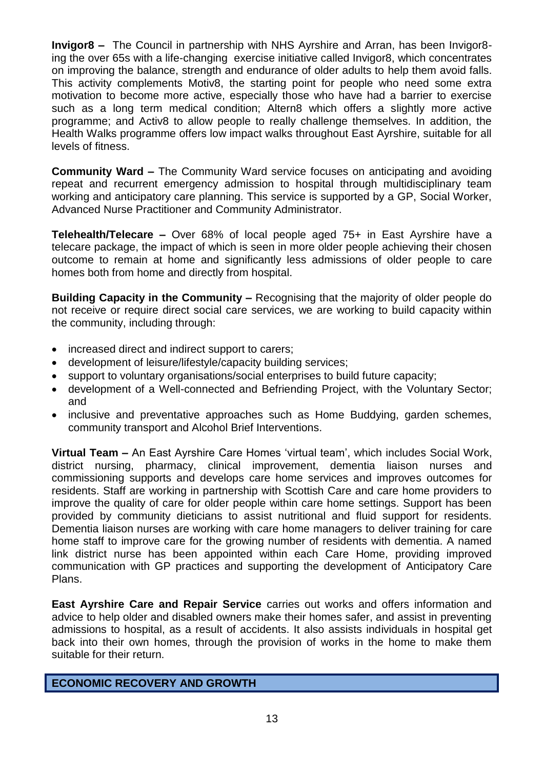**Invigor8 –** The Council in partnership with NHS Ayrshire and Arran, has been Invigor8 ing the over 65s with a life-changing exercise initiative called Invigor8, which concentrates on improving the balance, strength and endurance of older adults to help them avoid falls. This activity complements Motiv8, the starting point for people who need some extra motivation to become more active, especially those who have had a barrier to exercise such as a long term medical condition; Altern8 which offers a slightly more active programme; and Activ8 to allow people to really challenge themselves. In addition, the Health Walks programme offers low impact walks throughout East Ayrshire, suitable for all levels of fitness.

**Community Ward –** The Community Ward service focuses on anticipating and avoiding repeat and recurrent emergency admission to hospital through multidisciplinary team working and anticipatory care planning. This service is supported by a GP, Social Worker, Advanced Nurse Practitioner and Community Administrator.

**Telehealth/Telecare –** Over 68% of local people aged 75+ in East Ayrshire have a telecare package, the impact of which is seen in more older people achieving their chosen outcome to remain at home and significantly less admissions of older people to care homes both from home and directly from hospital.

**Building Capacity in the Community –** Recognising that the majority of older people do not receive or require direct social care services, we are working to build capacity within the community, including through:

- increased direct and indirect support to carers:
- development of leisure/lifestyle/capacity building services;
- support to voluntary organisations/social enterprises to build future capacity;
- development of a Well-connected and Befriending Project, with the Voluntary Sector; and
- inclusive and preventative approaches such as Home Buddying, garden schemes, community transport and Alcohol Brief Interventions.

**Virtual Team –** An East Ayrshire Care Homes 'virtual team', which includes Social Work, district nursing, pharmacy, clinical improvement, dementia liaison nurses and commissioning supports and develops care home services and improves outcomes for residents. Staff are working in partnership with Scottish Care and care home providers to improve the quality of care for older people within care home settings. Support has been provided by community dieticians to assist nutritional and fluid support for residents. Dementia liaison nurses are working with care home managers to deliver training for care home staff to improve care for the growing number of residents with dementia. A named link district nurse has been appointed within each Care Home, providing improved communication with GP practices and supporting the development of Anticipatory Care Plans.

**East Ayrshire Care and Repair Service** carries out works and offers information and advice to help older and disabled owners make their homes safer, and assist in preventing admissions to hospital, as a result of accidents. It also assists individuals in hospital get back into their own homes, through the provision of works in the home to make them suitable for their return.

### **ECONOMIC RECOVERY AND GROWTH**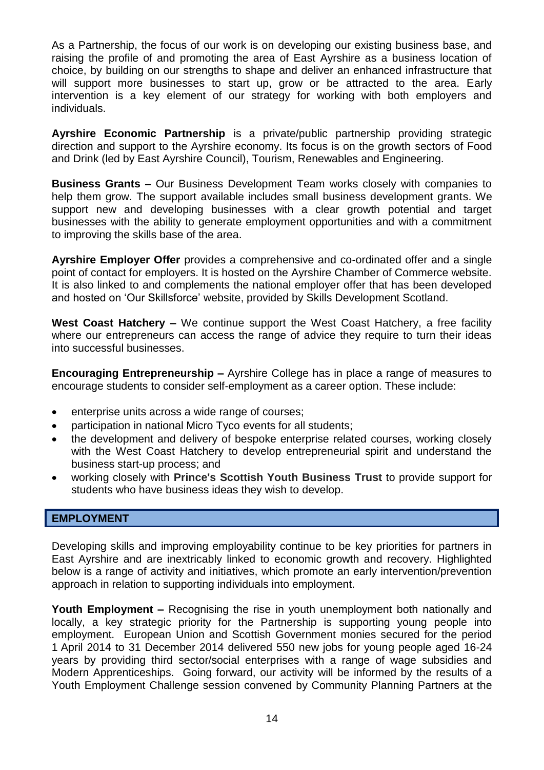As a Partnership, the focus of our work is on developing our existing business base, and raising the profile of and promoting the area of East Ayrshire as a business location of choice, by building on our strengths to shape and deliver an enhanced infrastructure that will support more businesses to start up, grow or be attracted to the area. Early intervention is a key element of our strategy for working with both employers and individuals.

**Ayrshire Economic Partnership** is a private/public partnership providing strategic direction and support to the Ayrshire economy. Its focus is on the growth sectors of Food and Drink (led by East Ayrshire Council), Tourism, Renewables and Engineering.

**Business Grants –** Our Business Development Team works closely with companies to help them grow. The support available includes small business development grants. We support new and developing businesses with a clear growth potential and target businesses with the ability to generate employment opportunities and with a commitment to improving the skills base of the area.

**Ayrshire Employer Offer** provides a comprehensive and co-ordinated offer and a single point of contact for employers. It is hosted on the Ayrshire Chamber of Commerce website. It is also linked to and complements the national employer offer that has been developed and hosted on 'Our Skillsforce' website, provided by Skills Development Scotland.

**West Coast Hatchery –** We continue support the West Coast Hatchery, a free facility where our entrepreneurs can access the range of advice they require to turn their ideas into successful businesses.

**Encouraging Entrepreneurship –** Ayrshire College has in place a range of measures to encourage students to consider self-employment as a career option. These include:

- enterprise units across a wide range of courses;
- participation in national Micro Tyco events for all students;
- the development and delivery of bespoke enterprise related courses, working closely with the West Coast Hatchery to develop entrepreneurial spirit and understand the business start-up process; and
- working closely with **Prince's Scottish Youth Business Trust** to provide support for students who have business ideas they wish to develop.

### **EMPLOYMENT**

Developing skills and improving employability continue to be key priorities for partners in East Ayrshire and are inextricably linked to economic growth and recovery. Highlighted below is a range of activity and initiatives, which promote an early intervention/prevention approach in relation to supporting individuals into employment.

**Youth Employment –** Recognising the rise in youth unemployment both nationally and locally, a key strategic priority for the Partnership is supporting young people into employment. European Union and Scottish Government monies secured for the period 1 April 2014 to 31 December 2014 delivered 550 new jobs for young people aged 16-24 years by providing third sector/social enterprises with a range of wage subsidies and Modern Apprenticeships. Going forward, our activity will be informed by the results of a Youth Employment Challenge session convened by Community Planning Partners at the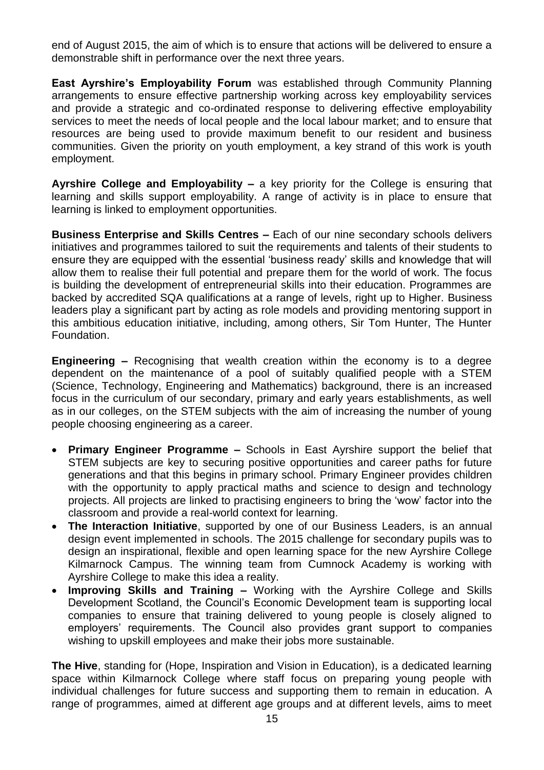end of August 2015, the aim of which is to ensure that actions will be delivered to ensure a demonstrable shift in performance over the next three years.

**East Ayrshire's Employability Forum** was established through Community Planning arrangements to ensure effective partnership working across key employability services and provide a strategic and co-ordinated response to delivering effective employability services to meet the needs of local people and the local labour market; and to ensure that resources are being used to provide maximum benefit to our resident and business communities. Given the priority on youth employment, a key strand of this work is youth employment.

**Ayrshire College and Employability –** a key priority for the College is ensuring that learning and skills support employability. A range of activity is in place to ensure that learning is linked to employment opportunities.

**Business Enterprise and Skills Centres –** Each of our nine secondary schools delivers initiatives and programmes tailored to suit the requirements and talents of their students to ensure they are equipped with the essential 'business ready' skills and knowledge that will allow them to realise their full potential and prepare them for the world of work. The focus is building the development of entrepreneurial skills into their education. Programmes are backed by accredited SQA qualifications at a range of levels, right up to Higher. Business leaders play a significant part by acting as role models and providing mentoring support in this ambitious education initiative, including, among others, Sir Tom Hunter, The Hunter Foundation.

**Engineering –** Recognising that wealth creation within the economy is to a degree dependent on the maintenance of a pool of suitably qualified people with a STEM (Science, Technology, Engineering and Mathematics) background, there is an increased focus in the curriculum of our secondary, primary and early years establishments, as well as in our colleges, on the STEM subjects with the aim of increasing the number of young people choosing engineering as a career.

- **Primary Engineer Programme –** Schools in East Ayrshire support the belief that STEM subjects are key to securing positive opportunities and career paths for future generations and that this begins in primary school. Primary Engineer provides children with the opportunity to apply practical maths and science to design and technology projects. All projects are linked to practising engineers to bring the 'wow' factor into the classroom and provide a real-world context for learning.
- **The Interaction Initiative**, supported by one of our Business Leaders, is an annual design event implemented in schools. The 2015 challenge for secondary pupils was to design an inspirational, flexible and open learning space for the new Ayrshire College Kilmarnock Campus. The winning team from Cumnock Academy is working with Ayrshire College to make this idea a reality.
- **Improving Skills and Training –** Working with the Ayrshire College and Skills Development Scotland, the Council's Economic Development team is supporting local companies to ensure that training delivered to young people is closely aligned to employers' requirements. The Council also provides grant support to companies wishing to upskill employees and make their jobs more sustainable.

**The Hive**, standing for (Hope, Inspiration and Vision in Education), is a dedicated learning space within Kilmarnock College where staff focus on preparing young people with individual challenges for future success and supporting them to remain in education. A range of programmes, aimed at different age groups and at different levels, aims to meet